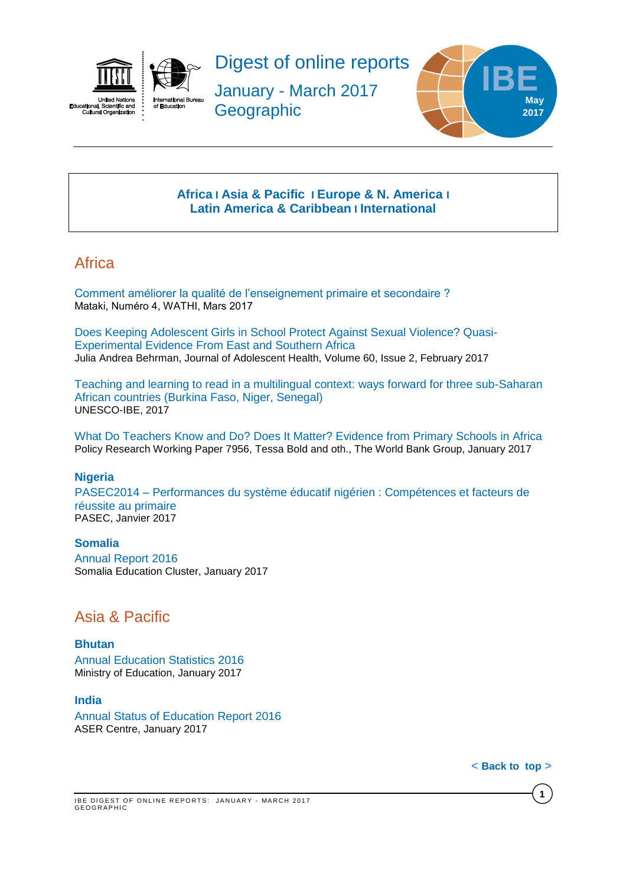



Digest of online reports

January - March 2017 **Geographic** 



## **[Africa](#page-0-0) I [Asia & Pacific](#page-0-1) I [Europe & N. America](#page-3-0) I [Latin America & Caribbean](#page-3-0) I [International](#page-4-0)**

# <span id="page-0-0"></span>**Africa**

[Comment améliorer la qualité de l'enseignement primaire et secondaire ?](http://www.wathi.org/wp-content/uploads/2017/03/Mataki_Education.pdf)  Mataki, Numéro 4, WATHI, Mars 2017

[Does Keeping Adolescent Girls in School Protect Against Sexual Violence? Quasi-](http://www.jahonline.org/article/S1054-139X(16)30354-8/fulltext)[Experimental Evidence From East and Southern Africa](http://www.jahonline.org/article/S1054-139X(16)30354-8/fulltext) Julia Andrea Behrman, Journal of Adolescent Health, Volume 60, Issue 2, February 2017

[Teaching and learning to read in a multilingual context: ways forward for three sub-Saharan](http://unesdoc.unesco.org/images/0024/002475/247533e.pdf)  [African countries \(Burkina Faso, Niger, Senegal\)](http://unesdoc.unesco.org/images/0024/002475/247533e.pdf)  UNESCO-IBE, 2017

[What Do Teachers Know and Do? Does It Matter? Evidence from Primary Schools in Africa](http://documents.worldbank.org/curated/en/882091485440895147/pdf/WPS7956.pdf)  Policy Research Working Paper 7956, Tessa Bold and oth., The World Bank Group, January 2017

### **Nigeria**

PASEC2014 – [Performances du système éducatif nigérien : Compétences et facteurs de](http://www.pasec.confemen.org/wp-content/uploads/2017/01/PASEC2014_Rapport-Niger_Final.pdf)  [réussite au primaire](http://www.pasec.confemen.org/wp-content/uploads/2017/01/PASEC2014_Rapport-Niger_Final.pdf) PASEC, Janvier 2017

**Somalia** [Annual Report 2016](http://reliefweb.int/sites/reliefweb.int/files/resources/somalia_education_cluster_annual_report_2016.pdf)  Somalia Education Cluster, January 2017

# <span id="page-0-1"></span>Asia & Pacific

#### **Bhutan**

[Annual Education Statistics 2016](http://www.education.gov.bt/documents/10180/12664/Annual+Education+Statistics+2016.pdf/8dc6828d-4de3-4e57-bc8c-0f6e9930422e?version=1.0) Ministry of Education, January 2017

### **India**

[Annual Status of Education Report 2016](http://img.asercentre.org/docs/Publications/ASER%20Reports/ASER%202016/aser_2016.pdf) ASER Centre, January 2017

**< Back [to\\_top](#page-0-0) >**

**1**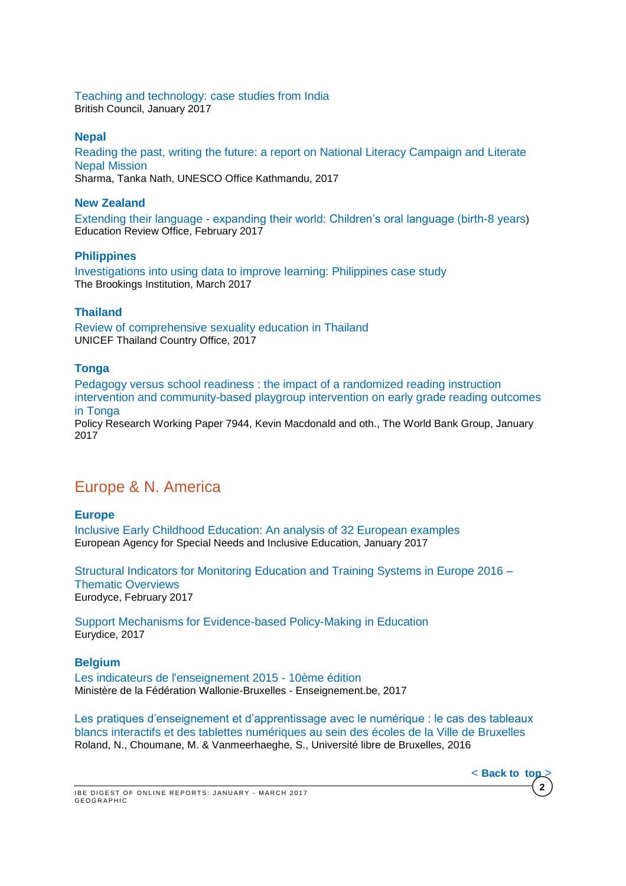#### [Teaching and technology: case studies from India](http://www.teachingenglish.org.uk/sites/teacheng/files/Teaching%20and%20technology%20case%20studies%20from%20India_FINAL_low_res_NEW.pdf) British Council, January 2017

#### **Nepal**

[Reading the past, writing the future: a report on National Literacy Campaign and Literate](http://unesdoc.unesco.org/images/0024/002473/247317e.pdf)  [Nepal Mission](http://unesdoc.unesco.org/images/0024/002473/247317e.pdf)

Sharma, Tanka Nath, UNESCO Office Kathmandu, 2017

#### **New Zealand**

Extending their language - [expanding their world: Children's oral language \(birth-8 years](http://www.ero.govt.nz/assets/Uploads/Extending-their-language-expanding-their-world2.pdf)) Education Review Office, February 2017

### **Philippines**

[Investigations into using data to improve learning: Philippines case study](https://www.brookings.edu/wp-content/uploads/2017/03/global-20170307-philippines-case-study.pdf) The Brookings Institution, March 2017

### **Thailand**

[Review of comprehensive sexuality education in Thailand](http://unesdoc.unesco.org/images/0024/002475/247510e.pdf) UNICEF Thailand Country Office, 2017

### **Tonga**

[Pedagogy versus school readiness : the impact of a randomized reading instruction](http://documents.worldbank.org/curated/en/651771484764766333/pdf/WPS7944.pdf)  [intervention and community-based playgroup intervention](http://documents.worldbank.org/curated/en/651771484764766333/pdf/WPS7944.pdf) on early grade reading outcomes [in Tonga](http://documents.worldbank.org/curated/en/651771484764766333/pdf/WPS7944.pdf)

Policy Research Working Paper 7944, Kevin Macdonald and oth., The World Bank Group, January 2017

# Europe & N. America

### **Europe**

[Inclusive Early Childhood Education: An analysis of 32 European examples](https://www.european-agency.org/sites/default/files/IECE%20%C2%AD%20An%20Analysis%20of%2032%20European%20Examples.pdf) European Agency for Special Needs and Inclusive Education, January 2017

[Structural Indicators for Monitoring Education and Training Systems in Europe 2016 –](https://webgate.ec.europa.eu/fpfis/mwikis/eurydice/index.php/Publications:Structural_Indicators_for_Monitoring_Education_and_Training_Systems_in_Europe_2016_%E2%80%93_Thematic_Overviews) [Thematic Overviews](https://webgate.ec.europa.eu/fpfis/mwikis/eurydice/index.php/Publications:Structural_Indicators_for_Monitoring_Education_and_Training_Systems_in_Europe_2016_%E2%80%93_Thematic_Overviews) Eurodyce, February 2017

[Support Mechanisms for Evidence-based Policy-Making in Education](https://webgate.ec.europa.eu/fpfis/mwikis/eurydice/images/f/f4/206_EN_Evidence_based_policy_making.pdf) Eurydice, 2017

### **Belgium**

[Les indicateurs de l'enseignement 2015 -](http://www.agers.cfwb.be/index.php?page=26998&navi=2264) 10ème édition Ministère de la Fédération Wallonie-Bruxelles - Enseignement.be, 2017

[Les pratiques d'enseignement et d'apprentissage avec le numérique : le cas des tableaux](http://www.rean.be/)  [blancs interactifs et des tablettes numériques au sein des écoles de la Ville de Bruxelles](http://www.rean.be/) Roland, N., Choumane, M. & Vanmeerhaeghe, S., Université libre de Bruxelles, 2016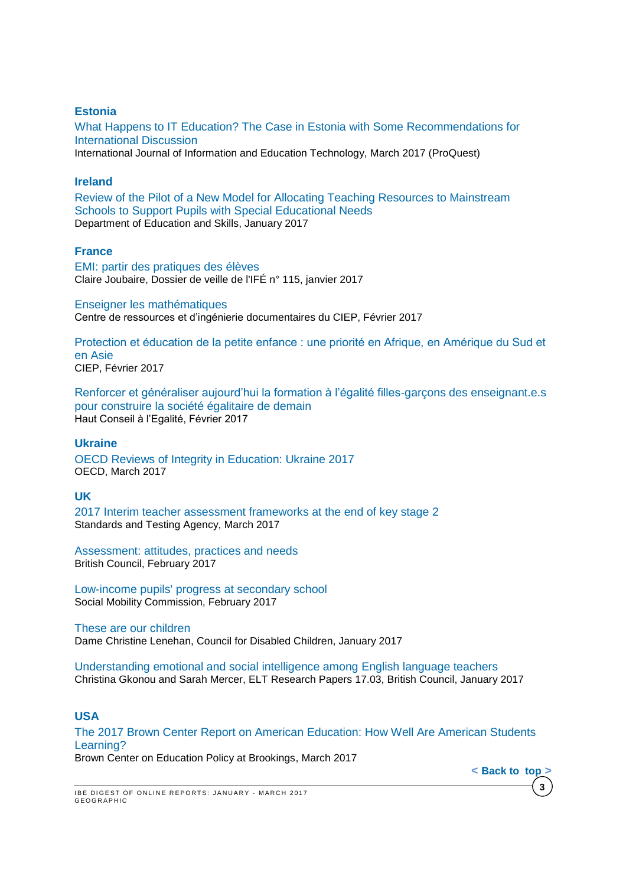### **Estonia**

[What Happens to IT Education? The Case in Estonia with Some Recommendations for](http://search.proquest.com/central/docview/1874276786/AA14672FF0B2439DPQ/37?accountid=41859)  [International Discussion](http://search.proquest.com/central/docview/1874276786/AA14672FF0B2439DPQ/37?accountid=41859) 

International Journal of Information and Education Technology, March 2017 (ProQuest)

#### **Ireland**

[Review of the Pilot of a New Model for Allocating Teaching Resources to Mainstream](http://www.education.ie/en/Publications/Inspection-Reports-Publications/Evaluation-Reports-Guidelines/Review-of-the-Pilot-of-a-New-Model-for-Allocating-Teaching-Resources-for-Pupils-with-Special-Educational-Needs.pdf)  [Schools to Support Pupils with Special Educational Needs](http://www.education.ie/en/Publications/Inspection-Reports-Publications/Evaluation-Reports-Guidelines/Review-of-the-Pilot-of-a-New-Model-for-Allocating-Teaching-Resources-for-Pupils-with-Special-Educational-Needs.pdf) Department of Education and Skills, January 2017

#### **France**

[EMI: partir des pratiques des élèves](http://ife.ens-lyon.fr/vst/DA-Veille/115-janvier-2017.pdf) Claire Joubaire, Dossier de veille de l'IFÉ n° 115, janvier 2017

#### [Enseigner les mathématiques](http://www.lefildubilingue.org/ressources/enseigner-les-mathematiques-sitographie)

Centre de ressources et d'ingénierie documentaires du CIEP, Février 2017

[Protection et éducation de la petite enfance : une priorité en Afrique, en Amérique du Sud et](http://www.ciep.fr/sites/default/files/atoms/files/focus-protection-education-petite-enfance-priorite-afrique-amerique-sud-asie.pdf)  [en Asie](http://www.ciep.fr/sites/default/files/atoms/files/focus-protection-education-petite-enfance-priorite-afrique-amerique-sud-asie.pdf) CIEP, Février 2017

[Renforcer et généraliser aujourd'hui la formation à l'égalité filles-garçons des enseignant.e.s](http://www.haut-conseil-egalite.gouv.fr/IMG/pdf/hce_rapport_formation_a_l_egalite_2017_02_22_vf.pdf)  [pour construire la société égalitaire de demain](http://www.haut-conseil-egalite.gouv.fr/IMG/pdf/hce_rapport_formation_a_l_egalite_2017_02_22_vf.pdf) Haut Conseil à l'Egalité, Février 2017

#### **Ukraine**

[OECD Reviews of Integrity in Education: Ukraine 2017](http://www.oecd-ilibrary.org/education/oecd-reviews-of-integrity-in-education-ukraine_9789264270664-en) OECD, March 2017

### **UK**

[2017 Interim teacher assessment frameworks at the end of key stage 2](https://www.gov.uk/government/uploads/system/uploads/attachment_data/file/538415/2017_interim_teacher_assessment_frameworks_at_the_end_of_key_stage_2_150716_PDFa.pdf) Standards and Testing Agency, March 2017

[Assessment: attitudes, practices and needs](http://www.teachingenglish.org.uk/sites/teacheng/files/G239_ELTRA_Sheehan%20and%20Munro_FINAL_web.pdf) British Council, February 2017

[Low-income pupils' progress at secondary school](https://www.gov.uk/government/uploads/system/uploads/attachment_data/file/594363/Progress_at_Secondary_School_report_final.pdf) Social Mobility Commission, February 2017

[These are our children](https://www.gov.uk/government/uploads/system/uploads/attachment_data/file/585376/Lenehan_Review_Report.pdf)  Dame Christine Lenehan, Council for Disabled Children, January 2017

[Understanding emotional and social intelligence among English language teachers](http://www.teachingenglish.org.uk/sites/teacheng/files/G211_ELTRA_Gkonou%20and%20Mercer%20paper_FINAL_web.pdf) Christina Gkonou and Sarah Mercer, ELT Research Papers 17.03, British Council, January 2017

### **USA**

[The 2017 Brown Center Report on American Education: How Well Are American Students](https://www.brookings.edu/wp-content/uploads/2017/03/2017-brown-center-report-on-american-education.pdf)  [Learning?](https://www.brookings.edu/wp-content/uploads/2017/03/2017-brown-center-report-on-american-education.pdf)

Brown Center on Education Policy at Brookings, March 2017

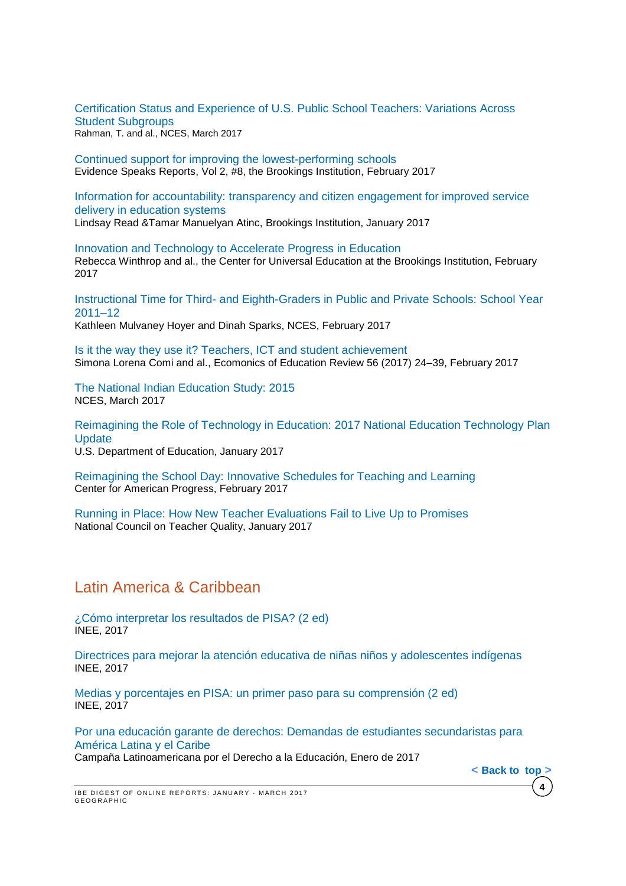[Certification Status and Experience of U.S. Public School Teachers: Variations Across](http://nces.ed.gov/pubsearch/pubsinfo.asp?pubid=2017056)  [Student Subgroups](http://nces.ed.gov/pubsearch/pubsinfo.asp?pubid=2017056) Rahman, T. and al., NCES, March 2017

[Continued support for improving the lowest-performing schools](https://www.brookings.edu/wp-content/uploads/2017/02/es_20170209_loeb_evidence_speaks.pdf) Evidence Speaks Reports, Vol 2, #8, the Brookings Institution, February 2017

[Information for accountability: transparency and citizen engagement for improved service](https://www.brookings.edu/wp-content/uploads/2017/01/global_20170125_information_for_accountability.pdf)  [delivery in education systems](https://www.brookings.edu/wp-content/uploads/2017/01/global_20170125_information_for_accountability.pdf) Lindsay Read &Tamar Manuelyan Atinc, Brookings Institution, January 2017

[Innovation and Technology to Accelerate Progress in Education](https://www.brookings.edu/wp-content/uploads/2017/02/global_20170223_innovation-and-technology.pdf) Rebecca Winthrop and al., the Center for Universal Education at the Brookings Institution, February 2017

Instructional Time for Third- [and Eighth-Graders in Public and Private Schools: School Year](https://nces.ed.gov/pubs2017/2017076.pdf)  [2011–12](https://nces.ed.gov/pubs2017/2017076.pdf) Kathleen Mulvaney Hoyer and Dinah Sparks, NCES, February 2017

[Is it the way they use it? Teachers, ICT and student achievement](http://ac.els-cdn.com/S0272775715302776/1-s2.0-S0272775715302776-main.pdf?_tid=7362ea60-f9d9-11e6-a632-00000aacb361&acdnat=1487862482_24d57920a9b69314f513c92f0f37ad4e) Simona Lorena Comi and al., Ecomonics of Education Review 56 (2017) 24–39, February 2017

[The National Indian Education Study: 2015](https://nces.ed.gov/pubsearch/pubsinfo.asp?pubid=2017161) NCES, March 2017

[Reimagining the Role of Technology in Education: 2017 National Education Technology Plan](https://tech.ed.gov/files/2017/01/NETP17.pdf)  **[Update](https://tech.ed.gov/files/2017/01/NETP17.pdf)** 

U.S. Department of Education, January 2017

[Reimagining the School Day: Innovative Schedules for Teaching and Learning](https://www.americanprogress.org/issues/education/reports/2017/02/23/426723/reimagining-the-school-day/) Center for American Progress, February 2017

[Running in Place: How New Teacher Evaluations Fail to Live Up to Promises](http://www.nctq.org/dmsStage/Final_Evaluation_Paper) National Council on Teacher Quality, January 2017

## <span id="page-3-0"></span>Latin America & Caribbean

[¿Cómo interpretar los resultados de PISA? \(2 ed\)](http://publicaciones.inee.edu.mx/buscadorPub/P1/C/406/P1C406.pdf) INEE, 2017

[Directrices para mejorar la atención educativa de niñas niños y adolescentes indígenas](http://publicaciones.inee.edu.mx/buscadorPub/P1/F/104/P1F104.pdf) INEE, 2017

[Medias y porcentajes en PISA: un primer paso para su comprensión \(2 ed\)](http://publicaciones.inee.edu.mx/buscadorPub/P1/C/407/P1C407.pdf) INEE, 2017

[Por una educación garante de derechos: Demandas de](http://v2.campanaderechoeducacion.org/es/publicaciones/clade/publicaciones-tematicas.html?download=392%3A2017-01-20-21-16-50) estudiantes secundaristas para [América Latina y el Caribe](http://v2.campanaderechoeducacion.org/es/publicaciones/clade/publicaciones-tematicas.html?download=392%3A2017-01-20-21-16-50)

**4**

**< Back [to\\_top](#page-0-0) >**

Campaña Latinoamericana por el Derecho a la Educación, Enero de 2017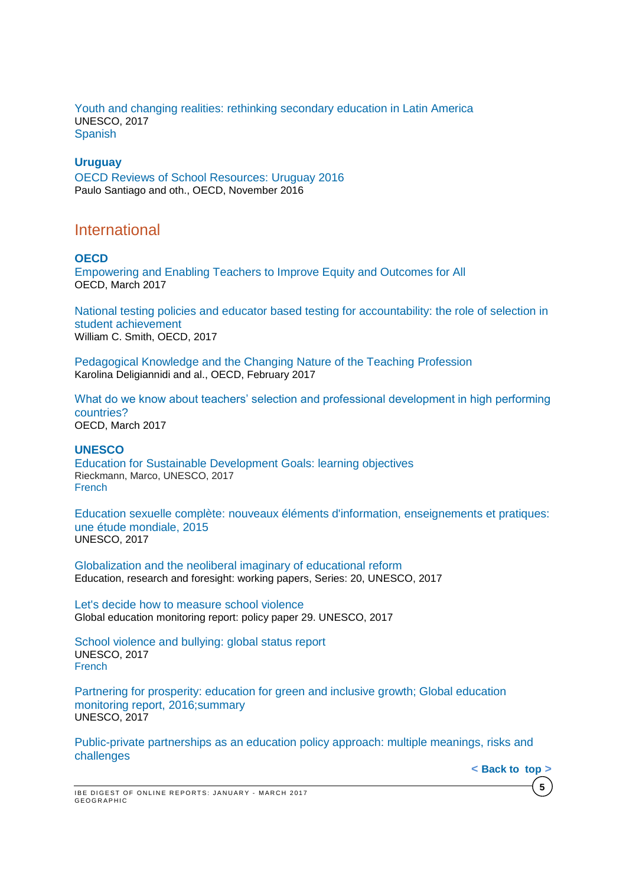[Youth and changing realities: rethinking secondary education in Latin America](http://unesdoc.unesco.org/images/0024/002475/247577e.pdf) UNESCO, 2017 [Spanish](http://unesdoc.unesco.org/images/0024/002475/247578s.pdf)

#### **Uruguay**

OECD Reviews of School [Resources:](http://www.oecd-ilibrary.org/docserver/download/9116121e.pdf?expires=1480598764&id=id&accname=guest&checksum=491ED44E74F853675EFF7FB80DCA1C43) Uruguay 2016 Paulo Santiago and oth., OECD, November 2016

## <span id="page-4-0"></span>International

#### **OECD**

[Empowering and Enabling Teachers to Improve Equity and Outcomes for All](http://www.oecd-ilibrary.org/education/empowering-and-enabling-teachers-to-improve-equity-and-outcomes-for-all_9789264273238-en) OECD, March 2017

[National testing policies and educator based testing for accountability: the role of selection in](http://www.oecd-ilibrary.org/fr/economics/national-testing-policies-and-educator-based-testing-for-accountability_eco_studies-2016-5jg1jxftj4r3)  [student achievement](http://www.oecd-ilibrary.org/fr/economics/national-testing-policies-and-educator-based-testing-for-accountability_eco_studies-2016-5jg1jxftj4r3) William C. Smith, OECD, 2017

[Pedagogical](http://www.oecd-ilibrary.org/education/pedagogical-knowledge-and-the-changing-nature-of-the-teaching-profession_9789264270695-en) Knowledge and the Changing Nature of the Teaching Profession Karolina Deligiannidi and al., OECD, February 2017

[What do we know about teachers' selection and professional development in high performing](http://www.oecd-ilibrary.org/docserver/download/87acdc87-en.pdf?expires=1491889792&id=id&accname=guest&checksum=2ADDFF17F15AFC177090493D67B3B7CE)  [countries?](http://www.oecd-ilibrary.org/docserver/download/87acdc87-en.pdf?expires=1491889792&id=id&accname=guest&checksum=2ADDFF17F15AFC177090493D67B3B7CE) OECD, March 2017

#### **UNESCO**

Education for Sustainable [Development Goals: learning objectives](http://unesdoc.unesco.org/images/0024/002474/247444e.pdf) Rieckmann, Marco, UNESCO, 2017 [French](http://unesdoc.unesco.org/images/0024/002475/247507f.pdf)

[Education sexuelle complète: nouveaux éléments d'information, enseignements et pratiques:](http://unesdoc.unesco.org/images/0024/002470/247010f.pdf)  [une étude mondiale, 2015](http://unesdoc.unesco.org/images/0024/002470/247010f.pdf) UNESCO, 2017

[Globalization and the neoliberal imaginary of educational reform](http://unesdoc.unesco.org/images/0024/002473/247328e.pdf) Education, research and foresight: working papers, Series: 20, UNESCO, 2017

[Let's decide how to measure school violence](http://unesdoc.unesco.org/images/0024/002469/246984E.pdf) Global education monitoring report: policy paper 29. UNESCO, 2017

[School violence and bullying: global status report](http://unesdoc.unesco.org/images/0024/002469/246970e.pdf) UNESCO, 2017 [French](http://unesdoc.unesco.org/images/0024/002469/246976f.pdf) 

[Partnering for prosperity: education for green and inclusive growth; Global education](http://unesdoc.unesco.org/images/0024/002469/246918e.pdf)  monitoring report, 2016;summary UNESCO, 2017

[Public-private partnerships as an education policy approach: multiple meanings, risks and](http://unesdoc.unesco.org/images/0024/002473/247327e.pdf)  [challenges](http://unesdoc.unesco.org/images/0024/002473/247327e.pdf)



**< Back [to\\_top](#page-0-0) >**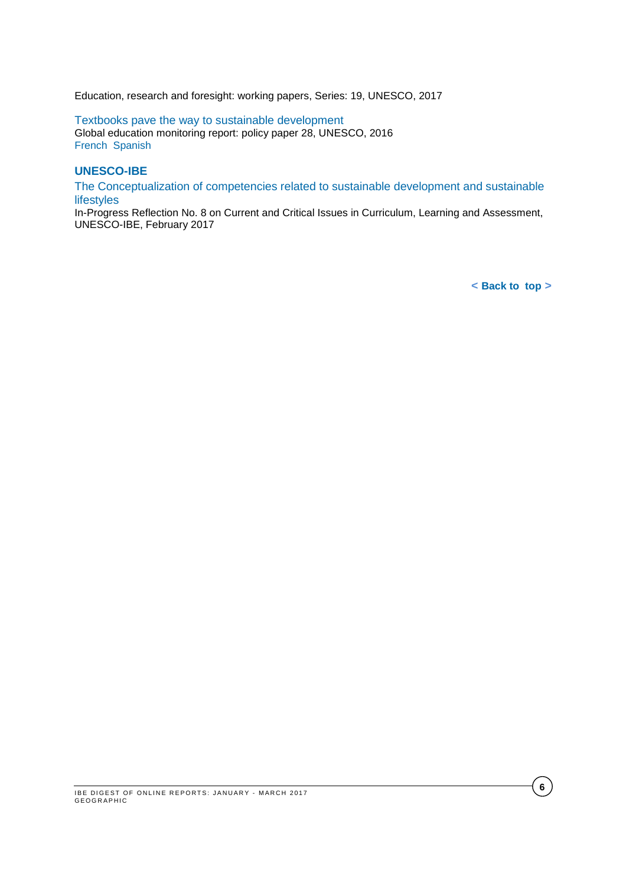Education, research and foresight: working papers, Series: 19, UNESCO, 2017

[Textbooks pave the way to sustainable development](http://unesdoc.unesco.org/images/0024/002467/246777e.pdf)  Global education monitoring report: policy paper 28, UNESCO, 2016 [French](http://unesdoc.unesco.org/images/0024/002467/246777f.pdf) [Spanish](http://unesdoc.unesco.org/images/0024/002467/246777s.pdf)

#### **UNESCO-IBE**

[The Conceptualization of competencies related to sustainable development and sustainable](http://unesdoc.unesco.org/images/0024/002473/247343E.pdf)  [lifestyles](http://unesdoc.unesco.org/images/0024/002473/247343E.pdf)

In-Progress Reflection No. 8 on Current and Critical Issues in Curriculum, Learning and Assessment, UNESCO-IBE, February 2017

**< Back [to\\_top](#page-0-0) >**